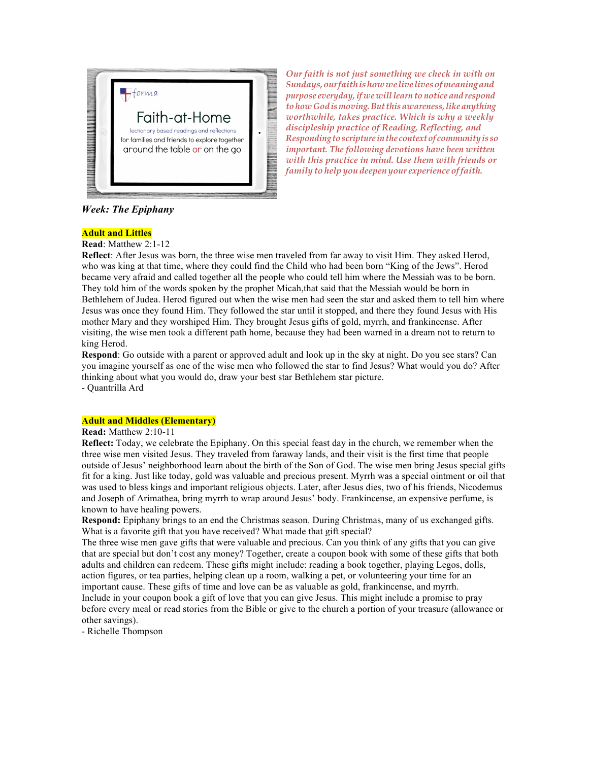

*Our faith is not just something we check in with on Sundays,ourfaithishowwelivelivesofmeaningand purpose everyday,if we willlearn to notice and respond tohow God ismoving.Butthisawareness,likeanything worthwhile, takes practice. Which is why a weekly discipleship practice of Reading, Reflecting, and Responding toscripture inthe contextof communityis so important. The following devotions have been written with this practice in mind. Use them with friends or family to help you deepen your experience offaith.*

*Week: The Epiphany*

# **Adult and Littles**

**Read**: Matthew 2:1-12

**Reflect**: After Jesus was born, the three wise men traveled from far away to visit Him. They asked Herod, who was king at that time, where they could find the Child who had been born "King of the Jews". Herod became very afraid and called together all the people who could tell him where the Messiah was to be born. They told him of the words spoken by the prophet Micah,that said that the Messiah would be born in Bethlehem of Judea. Herod figured out when the wise men had seen the star and asked them to tell him where Jesus was once they found Him. They followed the star until it stopped, and there they found Jesus with His mother Mary and they worshiped Him. They brought Jesus gifts of gold, myrrh, and frankincense. After visiting, the wise men took a different path home, because they had been warned in a dream not to return to king Herod.

**Respond**: Go outside with a parent or approved adult and look up in the sky at night. Do you see stars? Can you imagine yourself as one of the wise men who followed the star to find Jesus? What would you do? After thinking about what you would do, draw your best star Bethlehem star picture.

- Quantrilla Ard

### **Adult and Middles (Elementary)**

### **Read:** Matthew 2:10-11

**Reflect:** Today, we celebrate the Epiphany. On this special feast day in the church, we remember when the three wise men visited Jesus. They traveled from faraway lands, and their visit is the first time that people outside of Jesus' neighborhood learn about the birth of the Son of God. The wise men bring Jesus special gifts fit for a king. Just like today, gold was valuable and precious present. Myrrh was a special ointment or oil that was used to bless kings and important religious objects. Later, after Jesus dies, two of his friends, Nicodemus and Joseph of Arimathea, bring myrrh to wrap around Jesus' body. Frankincense, an expensive perfume, is known to have healing powers.

**Respond:** Epiphany brings to an end the Christmas season. During Christmas, many of us exchanged gifts. What is a favorite gift that you have received? What made that gift special?

The three wise men gave gifts that were valuable and precious. Can you think of any gifts that you can give that are special but don't cost any money? Together, create a coupon book with some of these gifts that both adults and children can redeem. These gifts might include: reading a book together, playing Legos, dolls, action figures, or tea parties, helping clean up a room, walking a pet, or volunteering your time for an important cause. These gifts of time and love can be as valuable as gold, frankincense, and myrrh. Include in your coupon book a gift of love that you can give Jesus. This might include a promise to pray before every meal or read stories from the Bible or give to the church a portion of your treasure (allowance or other savings).

- Richelle Thompson